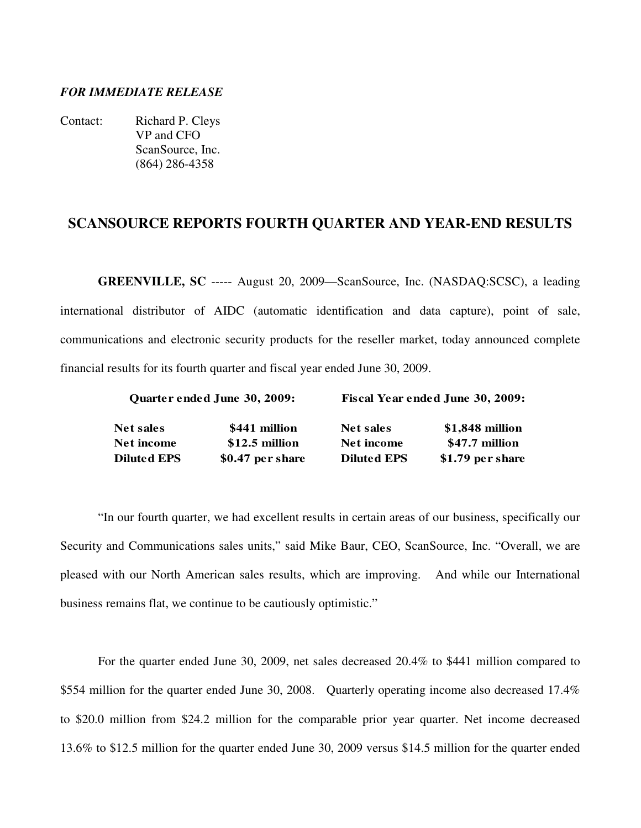# *FOR IMMEDIATE RELEASE*

Contact: Richard P. Cleys VP and CFO ScanSource, Inc. (864) 286-4358

# **SCANSOURCE REPORTS FOURTH QUARTER AND YEAR-END RESULTS**

**GREENVILLE, SC** ----- August 20, 2009—ScanSource, Inc. (NASDAQ:SCSC), a leading international distributor of AIDC (automatic identification and data capture), point of sale, communications and electronic security products for the reseller market, today announced complete financial results for its fourth quarter and fiscal year ended June 30, 2009.

|                   | Quarter ended June 30, 2009: | <b>Fiscal Year ended June 30, 2009:</b> |                   |  |  |  |  |
|-------------------|------------------------------|-----------------------------------------|-------------------|--|--|--|--|
| <b>Net sales</b>  | \$441 million                | Net sales                               | $$1,848$ million  |  |  |  |  |
| <b>Net income</b> | $$12.5$ million              | Net income                              | \$47.7 million    |  |  |  |  |
| Diluted EPS       | \$0.47 per share             | <b>Diluted EPS</b>                      | $$1.79$ per share |  |  |  |  |

"In our fourth quarter, we had excellent results in certain areas of our business, specifically our Security and Communications sales units," said Mike Baur, CEO, ScanSource, Inc. "Overall, we are pleased with our North American sales results, which are improving. And while our International business remains flat, we continue to be cautiously optimistic."

For the quarter ended June 30, 2009, net sales decreased 20.4% to \$441 million compared to \$554 million for the quarter ended June 30, 2008. Quarterly operating income also decreased 17.4% to \$20.0 million from \$24.2 million for the comparable prior year quarter. Net income decreased 13.6% to \$12.5 million for the quarter ended June 30, 2009 versus \$14.5 million for the quarter ended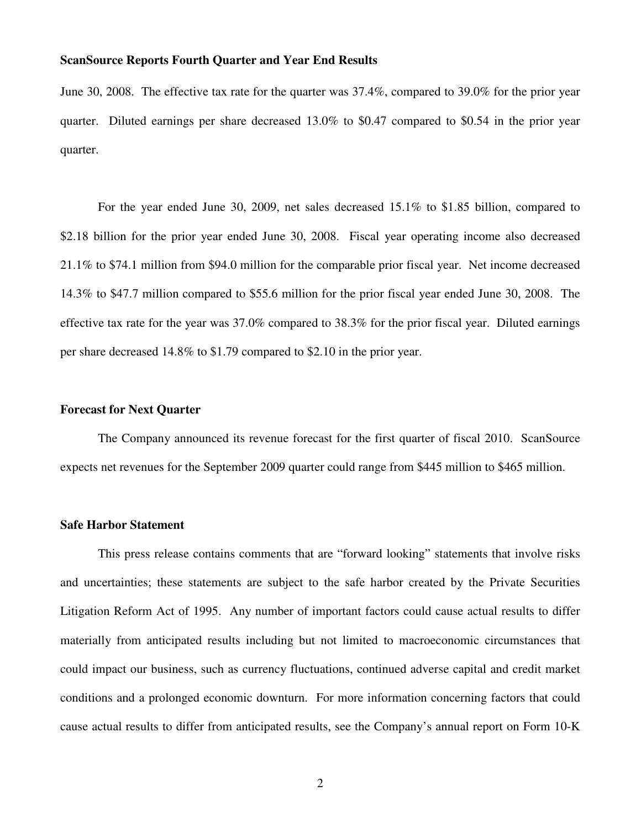June 30, 2008. The effective tax rate for the quarter was 37.4%, compared to 39.0% for the prior year quarter. Diluted earnings per share decreased 13.0% to \$0.47 compared to \$0.54 in the prior year quarter.

For the year ended June 30, 2009, net sales decreased 15.1% to \$1.85 billion, compared to \$2.18 billion for the prior year ended June 30, 2008. Fiscal year operating income also decreased 21.1% to \$74.1 million from \$94.0 million for the comparable prior fiscal year. Net income decreased 14.3% to \$47.7 million compared to \$55.6 million for the prior fiscal year ended June 30, 2008. The effective tax rate for the year was 37.0% compared to 38.3% for the prior fiscal year. Diluted earnings per share decreased 14.8% to \$1.79 compared to \$2.10 in the prior year.

# **Forecast for Next Quarter**

 The Company announced its revenue forecast for the first quarter of fiscal 2010. ScanSource expects net revenues for the September 2009 quarter could range from \$445 million to \$465 million.

#### **Safe Harbor Statement**

 This press release contains comments that are "forward looking" statements that involve risks and uncertainties; these statements are subject to the safe harbor created by the Private Securities Litigation Reform Act of 1995. Any number of important factors could cause actual results to differ materially from anticipated results including but not limited to macroeconomic circumstances that could impact our business, such as currency fluctuations, continued adverse capital and credit market conditions and a prolonged economic downturn. For more information concerning factors that could cause actual results to differ from anticipated results, see the Company's annual report on Form 10-K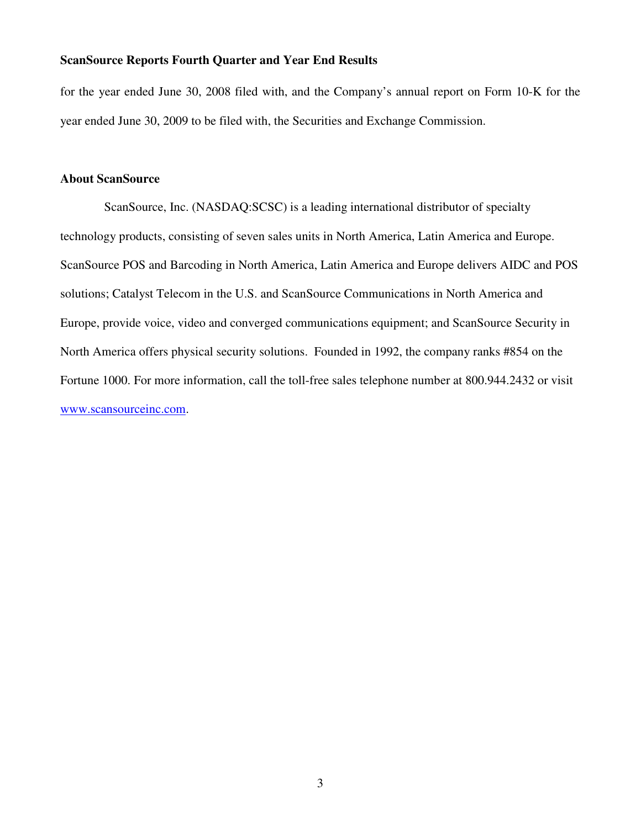for the year ended June 30, 2008 filed with, and the Company's annual report on Form 10-K for the year ended June 30, 2009 to be filed with, the Securities and Exchange Commission.

# **About ScanSource**

 ScanSource, Inc. (NASDAQ:SCSC) is a leading international distributor of specialty technology products, consisting of seven sales units in North America, Latin America and Europe. ScanSource POS and Barcoding in North America, Latin America and Europe delivers AIDC and POS solutions; Catalyst Telecom in the U.S. and ScanSource Communications in North America and Europe, provide voice, video and converged communications equipment; and ScanSource Security in North America offers physical security solutions. Founded in 1992, the company ranks #854 on the Fortune 1000. For more information, call the toll-free sales telephone number at 800.944.2432 or visit www.scansourceinc.com.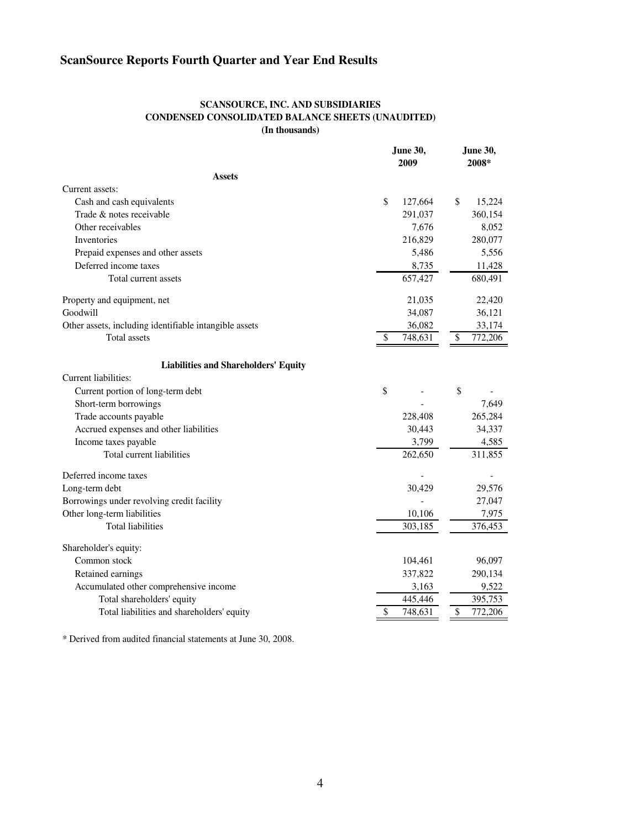### **SCANSOURCE, INC. AND SUBSIDIARIES CONDENSED CONSOLIDATED BALANCE SHEETS (UNAUDITED) (In thousands)**

|                                                        | <b>June 30,</b><br>2009 |         | <b>June 30,</b><br>2008* |         |
|--------------------------------------------------------|-------------------------|---------|--------------------------|---------|
| <b>Assets</b>                                          |                         |         |                          |         |
| Current assets:                                        |                         |         |                          |         |
| Cash and cash equivalents                              | \$                      | 127,664 | \$                       | 15,224  |
| Trade & notes receivable                               |                         | 291,037 |                          | 360,154 |
| Other receivables                                      |                         | 7,676   |                          | 8,052   |
| Inventories                                            |                         | 216,829 |                          | 280,077 |
| Prepaid expenses and other assets                      |                         | 5,486   |                          | 5,556   |
| Deferred income taxes                                  |                         | 8,735   |                          | 11,428  |
| Total current assets                                   |                         | 657,427 |                          | 680,491 |
| Property and equipment, net                            |                         | 21,035  |                          | 22,420  |
| Goodwill                                               |                         | 34,087  |                          | 36,121  |
| Other assets, including identifiable intangible assets |                         | 36,082  |                          | 33,174  |
| Total assets                                           | \$                      | 748,631 | \$                       | 772,206 |
| <b>Liabilities and Shareholders' Equity</b>            |                         |         |                          |         |
| Current liabilities:                                   |                         |         |                          |         |
| Current portion of long-term debt                      | \$                      |         | \$                       |         |
| Short-term borrowings                                  |                         |         |                          | 7,649   |
| Trade accounts payable                                 |                         | 228,408 |                          | 265,284 |
| Accrued expenses and other liabilities                 |                         | 30,443  |                          | 34,337  |
| Income taxes payable                                   |                         | 3,799   |                          | 4,585   |
| Total current liabilities                              |                         | 262,650 |                          | 311,855 |
| Deferred income taxes                                  |                         |         |                          |         |
| Long-term debt                                         |                         | 30,429  |                          | 29,576  |
| Borrowings under revolving credit facility             |                         |         |                          | 27,047  |
| Other long-term liabilities                            |                         | 10,106  |                          | 7,975   |
| <b>Total liabilities</b>                               |                         | 303,185 |                          | 376,453 |
| Shareholder's equity:                                  |                         |         |                          |         |
| Common stock                                           |                         | 104,461 |                          | 96,097  |
| Retained earnings                                      |                         | 337,822 |                          | 290,134 |
| Accumulated other comprehensive income                 |                         | 3,163   |                          | 9,522   |
| Total shareholders' equity                             |                         | 445,446 |                          | 395,753 |
| Total liabilities and shareholders' equity             |                         | 748,631 | \$                       | 772,206 |

\* Derived from audited financial statements at June 30, 2008.